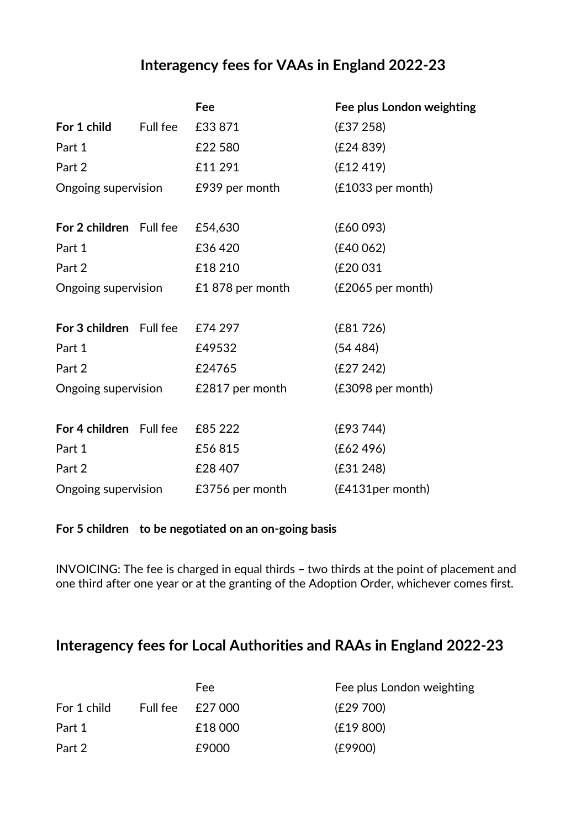## **Interagency fees for VAAs in England 2022-23**

|                                    |          | Fee              | Fee plus London weighting |
|------------------------------------|----------|------------------|---------------------------|
| For 1 child                        | Full fee | £33871           | (E37 258)                 |
| Part 1                             |          | £22 580          | (E24 839)                 |
| Part 2                             |          | £11 291          | (E12 419)                 |
| Ongoing supervision E939 per month |          |                  | (£1033 per month)         |
|                                    |          |                  |                           |
| For 2 children Full fee            |          | £54,630          | (E60093)                  |
| Part 1                             |          | £36420           | (E40062)                  |
| Part 2                             |          | £18 210          | (£20 031                  |
| Ongoing supervision                |          | £1 878 per month | (£2065 per month)         |
| For 3 children Full fee            |          | £74 297          | (E81726)                  |
| Part 1                             |          | £49532           | (54484)                   |
| Part 2                             |          | £24765           | (E27 242)                 |
| Ongoing supervision                |          | £2817 per month  | (£3098 per month)         |
| For 4 children Full fee £85 222    |          |                  | (E93744)                  |
| Part 1                             |          | £56815           | (E62 496)                 |
| Part 2                             |          | £28 407          | (E31 248)                 |
| Ongoing supervision                |          | £3756 per month  | (£4131per month)          |

## **For 5 children to be negotiated on an on-going basis**

INVOICING: The fee is charged in equal thirds – two thirds at the point of placement and one third after one year or at the granting of the Adoption Order, whichever comes first.

## **Interagency fees for Local Authorities and RAAs in England 2022-23**

|             | Fee:             | Fee plus London weighting |
|-------------|------------------|---------------------------|
| For 1 child | Full fee £27 000 | (£29 700)                 |
| Part 1      | £18 000          | (E19 800)                 |
| Part 2      | £9000            | (E9900)                   |